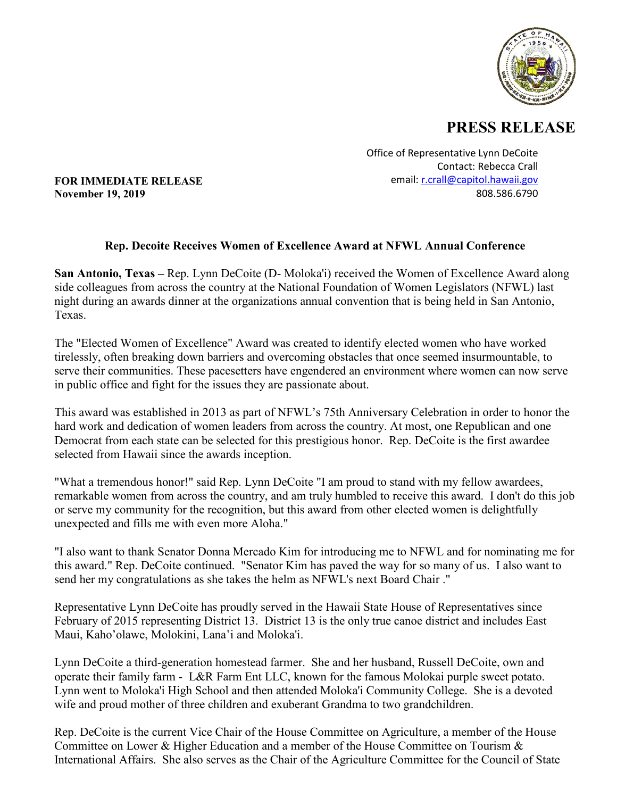

## **PRESS RELEASE**

Office of Representative Lynn DeCoite Contact: Rebecca Crall email: [r.crall@capitol.hawaii.gov](mailto:r.crall@capitol.hawaii.gov) 808.586.6790

**FOR IMMEDIATE RELEASE November 19, 2019**

## **Rep. Decoite Receives Women of Excellence Award at NFWL Annual Conference**

**San Antonio, Texas –** Rep. Lynn DeCoite (D- Moloka'i) received the Women of Excellence Award along side colleagues from across the country at the National Foundation of Women Legislators (NFWL) last night during an awards dinner at the organizations annual convention that is being held in San Antonio, Texas.

The "Elected Women of Excellence" Award was created to identify elected women who have worked tirelessly, often breaking down barriers and overcoming obstacles that once seemed insurmountable, to serve their communities. These pacesetters have engendered an environment where women can now serve in public office and fight for the issues they are passionate about.

This award was established in 2013 as part of NFWL's 75th Anniversary Celebration in order to honor the hard work and dedication of women leaders from across the country. At most, one Republican and one Democrat from each state can be selected for this prestigious honor. Rep. DeCoite is the first awardee selected from Hawaii since the awards inception.

"What a tremendous honor!" said Rep. Lynn DeCoite "I am proud to stand with my fellow awardees, remarkable women from across the country, and am truly humbled to receive this award. I don't do this job or serve my community for the recognition, but this award from other elected women is delightfully unexpected and fills me with even more Aloha."

"I also want to thank Senator Donna Mercado Kim for introducing me to NFWL and for nominating me for this award." Rep. DeCoite continued. "Senator Kim has paved the way for so many of us. I also want to send her my congratulations as she takes the helm as NFWL's next Board Chair ."

Representative Lynn DeCoite has proudly served in the Hawaii State House of Representatives since February of 2015 representing District 13. District 13 is the only true canoe district and includes East Maui, Kaho'olawe, Molokini, Lana'i and Moloka'i.

Lynn DeCoite a third-generation homestead farmer. She and her husband, Russell DeCoite, own and operate their family farm - L&R Farm Ent LLC, known for the famous Molokai purple sweet potato. Lynn went to Moloka'i High School and then attended Moloka'i Community College. She is a devoted wife and proud mother of three children and exuberant Grandma to two grandchildren.

Rep. DeCoite is the current Vice Chair of the House Committee on Agriculture, a member of the House Committee on Lower & Higher Education and a member of the House Committee on Tourism & International Affairs. She also serves as the Chair of the Agriculture Committee for the Council of State